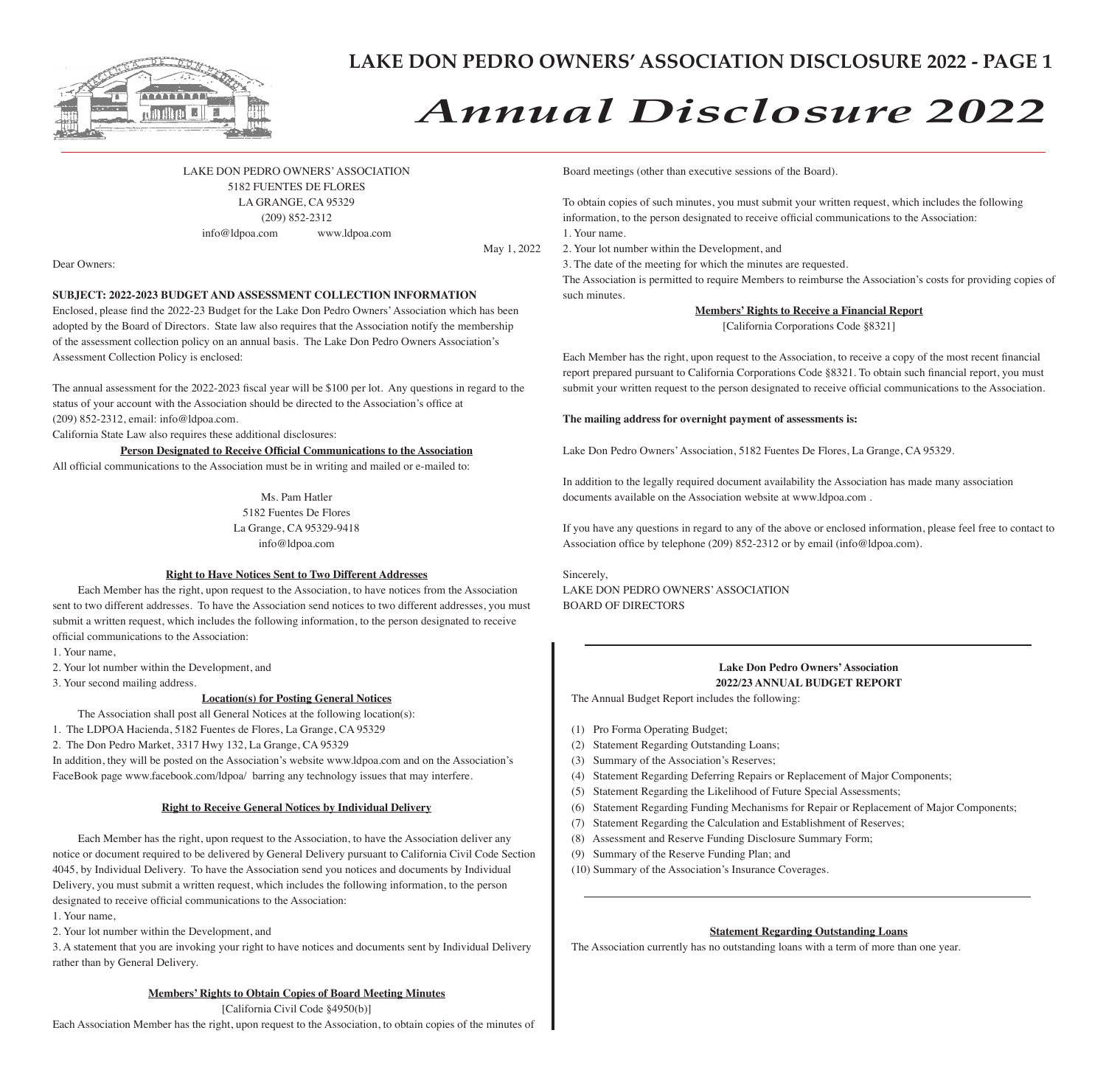

# *Annual Disclosure 2022*

LAKE DON PEDRO OWNERS' ASSOCIATION 5182 FUENTES DE FLORES LA GRANGE, CA 95329 (209) 852-2312 info@ldpoa.com www.ldpoa.com

May 1, 2022

Dear Owners:

### **SUBJECT: 2022-2023 BUDGET AND ASSESSMENT COLLECTION INFORMATION**

Enclosed, please find the 2022-23 Budget for the Lake Don Pedro Owners' Association which has been adopted by the Board of Directors. State law also requires that the Association notify the membership of the assessment collection policy on an annual basis. The Lake Don Pedro Owners Association's Assessment Collection Policy is enclosed:

The annual assessment for the 2022-2023 fiscal year will be \$100 per lot. Any questions in regard to the status of your account with the Association should be directed to the Association's office at (209) 852-2312, email: info@ldpoa.com.

California State Law also requires these additional disclosures:

**Person Designated to Receive Official Communications to the Association**

All official communications to the Association must be in writing and mailed or e-mailed to:

Ms. Pam Hatler 5182 Fuentes De Flores La Grange, CA 95329-9418 info@ldpoa.com

### **Right to Have Notices Sent to Two Different Addresses**

Each Member has the right, upon request to the Association, to have notices from the Association sent to two different addresses. To have the Association send notices to two different addresses, you must submit a written request, which includes the following information, to the person designated to receive official communications to the Association:

1. Your name,

2. Your lot number within the Development, and

3. Your second mailing address.

### **Location(s) for Posting General Notices**

The Association shall post all General Notices at the following location(s):

1. The LDPOA Hacienda, 5182 Fuentes de Flores, La Grange, CA 95329

2. The Don Pedro Market, 3317 Hwy 132, La Grange, CA 95329

In addition, they will be posted on the Association's website www.ldpoa.com and on the Association's FaceBook page www.facebook.com/ldpoa/ barring any technology issues that may interfere.

### **Right to Receive General Notices by Individual Delivery**

Each Member has the right, upon request to the Association, to have the Association deliver any notice or document required to be delivered by General Delivery pursuant to California Civil Code Section 4045, by Individual Delivery. To have the Association send you notices and documents by Individual Delivery, you must submit a written request, which includes the following information, to the person designated to receive official communications to the Association:

1. Your name,

2. Your lot number within the Development, and

3. A statement that you are invoking your right to have notices and documents sent by Individual Delivery rather than by General Delivery.

### **Members' Rights to Obtain Copies of Board Meeting Minutes**

[California Civil Code §4950(b)] Each Association Member has the right, upon request to the Association, to obtain copies of the minutes of Board meetings (other than executive sessions of the Board).

To obtain copies of such minutes, you must submit your written request, which includes the following information, to the person designated to receive official communications to the Association: 1. Your name.

2. Your lot number within the Development, and

3. The date of the meeting for which the minutes are requested.

The Association is permitted to require Members to reimburse the Association's costs for providing copies of such minutes.

**Members' Rights to Receive a Financial Report**

[California Corporations Code §8321]

Each Member has the right, upon request to the Association, to receive a copy of the most recent financial report prepared pursuant to California Corporations Code §8321. To obtain such financial report, you must submit your written request to the person designated to receive official communications to the Association.

### **The mailing address for overnight payment of assessments is:**

Lake Don Pedro Owners' Association, 5182 Fuentes De Flores, La Grange, CA 95329.

In addition to the legally required document availability the Association has made many association documents available on the Association website at www.ldpoa.com .

If you have any questions in regard to any of the above or enclosed information, please feel free to contact to Association office by telephone (209) 852-2312 or by email (info@ldpoa.com).

Sincerely, LAKE DON PEDRO OWNERS' ASSOCIATION BOARD OF DIRECTORS

### **Lake Don Pedro Owners' Association 2022/23 ANNUAL BUDGET REPORT**

The Annual Budget Report includes the following:

- (1) Pro Forma Operating Budget;
- (2) Statement Regarding Outstanding Loans;
- (3) Summary of the Association's Reserves;
- (4) Statement Regarding Deferring Repairs or Replacement of Major Components;
- (5) Statement Regarding the Likelihood of Future Special Assessments;
- (6) Statement Regarding Funding Mechanisms for Repair or Replacement of Major Components;
- (7) Statement Regarding the Calculation and Establishment of Reserves;
- (8) Assessment and Reserve Funding Disclosure Summary Form;
- (9) Summary of the Reserve Funding Plan; and
- (10) Summary of the Association's Insurance Coverages.

### **Statement Regarding Outstanding Loans**

The Association currently has no outstanding loans with a term of more than one year.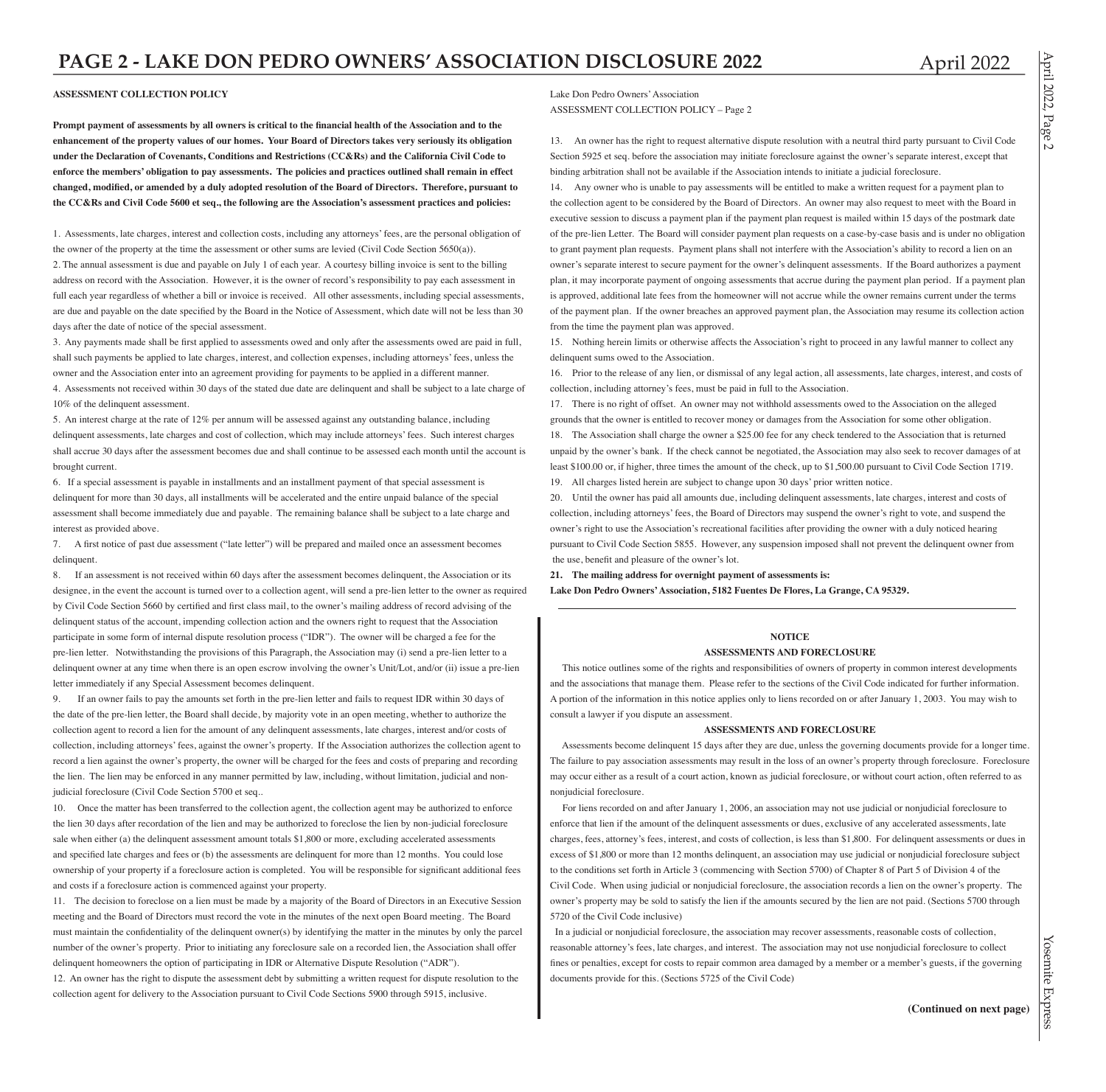April  $12022$ 

Page 2

### **ASSESSMENT COLLECTION POLICY**

**Prompt payment of assessments by all owners is critical to the financial health of the Association and to the enhancement of the property values of our homes. Your Board of Directors takes very seriously its obligation under the Declaration of Covenants, Conditions and Restrictions (CC&Rs) and the California Civil Code to enforce the members' obligation to pay assessments. The policies and practices outlined shall remain in effect changed, modified, or amended by a duly adopted resolution of the Board of Directors. Therefore, pursuant to the CC&Rs and Civil Code 5600 et seq., the following are the Association's assessment practices and policies:**

1. Assessments, late charges, interest and collection costs, including any attorneys' fees, are the personal obligation of the owner of the property at the time the assessment or other sums are levied (Civil Code Section 5650(a)). 2. The annual assessment is due and payable on July 1 of each year. A courtesy billing invoice is sent to the billing address on record with the Association. However, it is the owner of record's responsibility to pay each assessment in full each year regardless of whether a bill or invoice is received. All other assessments, including special assessments, are due and payable on the date specified by the Board in the Notice of Assessment, which date will not be less than 30 days after the date of notice of the special assessment.

3. Any payments made shall be first applied to assessments owed and only after the assessments owed are paid in full, shall such payments be applied to late charges, interest, and collection expenses, including attorneys' fees, unless the owner and the Association enter into an agreement providing for payments to be applied in a different manner. 4. Assessments not received within 30 days of the stated due date are delinquent and shall be subject to a late charge of 10% of the delinquent assessment.

5. An interest charge at the rate of 12% per annum will be assessed against any outstanding balance, including delinquent assessments, late charges and cost of collection, which may include attorneys' fees. Such interest charges shall accrue 30 days after the assessment becomes due and shall continue to be assessed each month until the account is brought current.

6. If a special assessment is payable in installments and an installment payment of that special assessment is delinquent for more than 30 days, all installments will be accelerated and the entire unpaid balance of the special assessment shall become immediately due and payable. The remaining balance shall be subject to a late charge and interest as provided above.

7. A first notice of past due assessment ("late letter") will be prepared and mailed once an assessment becomes delinquent.

8. If an assessment is not received within 60 days after the assessment becomes delinquent, the Association or its designee, in the event the account is turned over to a collection agent, will send a pre-lien letter to the owner as required by Civil Code Section 5660 by certified and first class mail, to the owner's mailing address of record advising of the delinquent status of the account, impending collection action and the owners right to request that the Association participate in some form of internal dispute resolution process ("IDR"). The owner will be charged a fee for the pre-lien letter. Notwithstanding the provisions of this Paragraph, the Association may (i) send a pre-lien letter to a delinquent owner at any time when there is an open escrow involving the owner's Unit/Lot, and/or (ii) issue a pre-lien letter immediately if any Special Assessment becomes delinquent.

If an owner fails to pay the amounts set forth in the pre-lien letter and fails to request IDR within 30 days of the date of the pre-lien letter, the Board shall decide, by majority vote in an open meeting, whether to authorize the collection agent to record a lien for the amount of any delinquent assessments, late charges, interest and/or costs of collection, including attorneys' fees, against the owner's property. If the Association authorizes the collection agent to record a lien against the owner's property, the owner will be charged for the fees and costs of preparing and recording the lien. The lien may be enforced in any manner permitted by law, including, without limitation, judicial and nonjudicial foreclosure (Civil Code Section 5700 et seq..

10. Once the matter has been transferred to the collection agent, the collection agent may be authorized to enforce the lien 30 days after recordation of the lien and may be authorized to foreclose the lien by non-judicial foreclosure sale when either (a) the delinquent assessment amount totals \$1,800 or more, excluding accelerated assessments and specified late charges and fees or (b) the assessments are delinquent for more than 12 months. You could lose ownership of your property if a foreclosure action is completed. You will be responsible for significant additional fees and costs if a foreclosure action is commenced against your property.

11. The decision to foreclose on a lien must be made by a majority of the Board of Directors in an Executive Session meeting and the Board of Directors must record the vote in the minutes of the next open Board meeting. The Board must maintain the confidentiality of the delinquent owner(s) by identifying the matter in the minutes by only the parcel number of the owner's property. Prior to initiating any foreclosure sale on a recorded lien, the Association shall offer delinquent homeowners the option of participating in IDR or Alternative Dispute Resolution ("ADR").

12. An owner has the right to dispute the assessment debt by submitting a written request for dispute resolution to the collection agent for delivery to the Association pursuant to Civil Code Sections 5900 through 5915, inclusive.

Lake Don Pedro Owners' Association ASSESSMENT COLLECTION POLICY – Page 2

13. An owner has the right to request alternative dispute resolution with a neutral third party pursuant to Civil Code Section 5925 et seq. before the association may initiate foreclosure against the owner's separate interest, except that binding arbitration shall not be available if the Association intends to initiate a judicial foreclosure.

14. Any owner who is unable to pay assessments will be entitled to make a written request for a payment plan to the collection agent to be considered by the Board of Directors. An owner may also request to meet with the Board in executive session to discuss a payment plan if the payment plan request is mailed within 15 days of the postmark date of the pre-lien Letter. The Board will consider payment plan requests on a case-by-case basis and is under no obligation to grant payment plan requests. Payment plans shall not interfere with the Association's ability to record a lien on an owner's separate interest to secure payment for the owner's delinquent assessments. If the Board authorizes a payment plan, it may incorporate payment of ongoing assessments that accrue during the payment plan period. If a payment plan is approved, additional late fees from the homeowner will not accrue while the owner remains current under the terms of the payment plan. If the owner breaches an approved payment plan, the Association may resume its collection action from the time the payment plan was approved.

15. Nothing herein limits or otherwise affects the Association's right to proceed in any lawful manner to collect any delinquent sums owed to the Association.

16. Prior to the release of any lien, or dismissal of any legal action, all assessments, late charges, interest, and costs of collection, including attorney's fees, must be paid in full to the Association.

17. There is no right of offset. An owner may not withhold assessments owed to the Association on the alleged grounds that the owner is entitled to recover money or damages from the Association for some other obligation. 18. The Association shall charge the owner a \$25.00 fee for any check tendered to the Association that is returned unpaid by the owner's bank. If the check cannot be negotiated, the Association may also seek to recover damages of at least \$100.00 or, if higher, three times the amount of the check, up to \$1,500.00 pursuant to Civil Code Section 1719.

19. All charges listed herein are subject to change upon 30 days' prior written notice.

20. Until the owner has paid all amounts due, including delinquent assessments, late charges, interest and costs of collection, including attorneys' fees, the Board of Directors may suspend the owner's right to vote, and suspend the owner's right to use the Association's recreational facilities after providing the owner with a duly noticed hearing pursuant to Civil Code Section 5855. However, any suspension imposed shall not prevent the delinquent owner from the use, benefit and pleasure of the owner's lot.

**21. The mailing address for overnight payment of assessments is: Lake Don Pedro Owners' Association, 5182 Fuentes De Flores, La Grange, CA 95329.**

### **NOTICE ASSESSMENTS AND FORECLOSURE**

 This notice outlines some of the rights and responsibilities of owners of property in common interest developments and the associations that manage them. Please refer to the sections of the Civil Code indicated for further information. A portion of the information in this notice applies only to liens recorded on or after January 1, 2003. You may wish to consult a lawyer if you dispute an assessment.

### **ASSESSMENTS AND FORECLOSURE**

 Assessments become delinquent 15 days after they are due, unless the governing documents provide for a longer time. The failure to pay association assessments may result in the loss of an owner's property through foreclosure. Foreclosure may occur either as a result of a court action, known as judicial foreclosure, or without court action, often referred to as nonjudicial foreclosure.

 For liens recorded on and after January 1, 2006, an association may not use judicial or nonjudicial foreclosure to enforce that lien if the amount of the delinquent assessments or dues, exclusive of any accelerated assessments, late charges, fees, attorney's fees, interest, and costs of collection, is less than \$1,800. For delinquent assessments or dues in excess of \$1,800 or more than 12 months delinquent, an association may use judicial or nonjudicial foreclosure subject to the conditions set forth in Article 3 (commencing with Section 5700) of Chapter 8 of Part 5 of Division 4 of the Civil Code. When using judicial or nonjudicial foreclosure, the association records a lien on the owner's property. The owner's property may be sold to satisfy the lien if the amounts secured by the lien are not paid. (Sections 5700 through 5720 of the Civil Code inclusive)

 In a judicial or nonjudicial foreclosure, the association may recover assessments, reasonable costs of collection, reasonable attorney's fees, late charges, and interest. The association may not use nonjudicial foreclosure to collect fines or penalties, except for costs to repair common area damaged by a member or a member's guests, if the governing documents provide for this. (Sections 5725 of the Civil Code)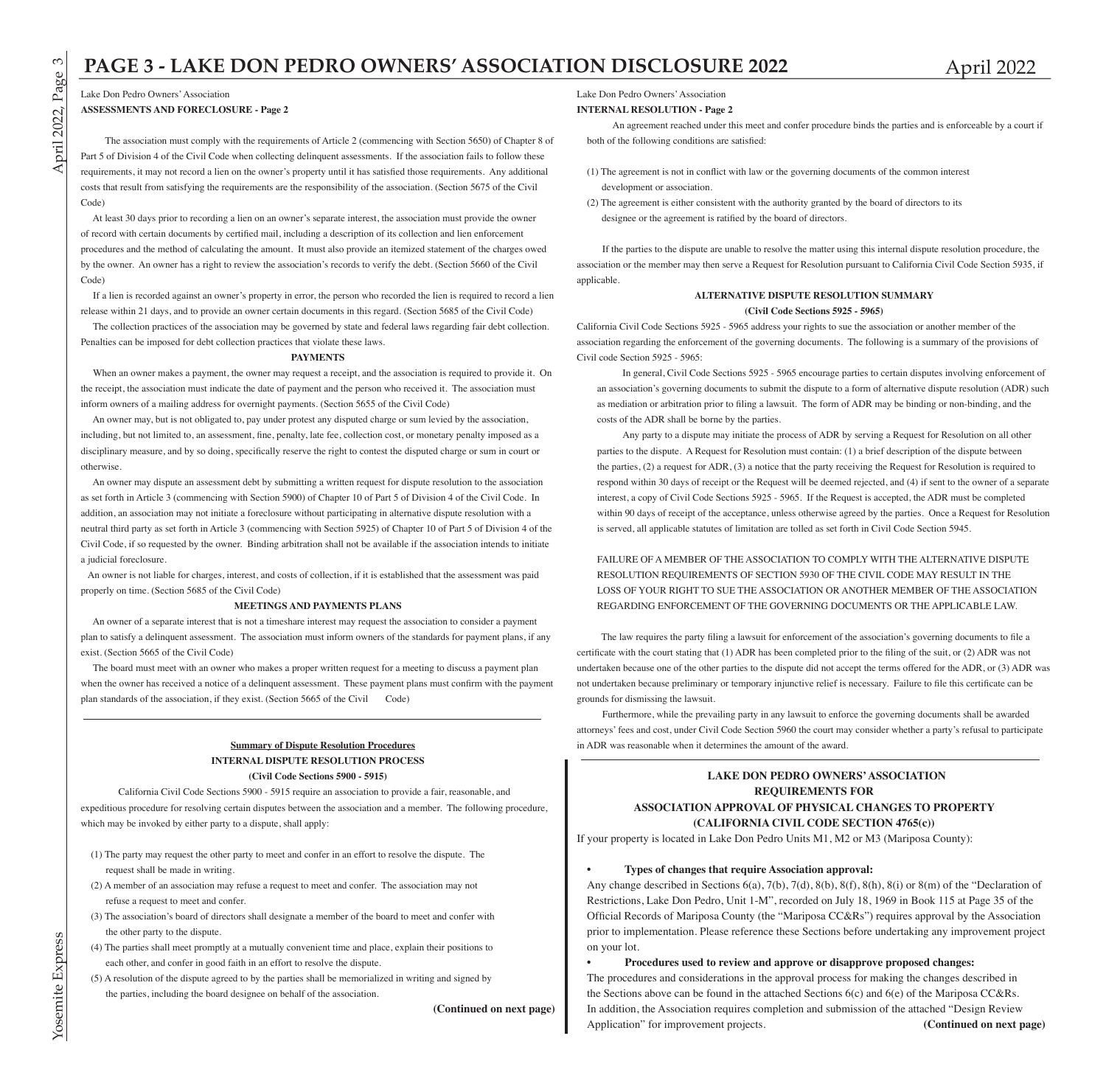## **PAGE 3 - LAKE DON PEDRO OWNERS' ASSOCIATION DISCLOSURE 2022** April 2022

Lake Don Pedro Owners' Association

**ASSESSMENTS AND FORECLOSURE - Page 2**

 The association must comply with the requirements of Article 2 (commencing with Section 5650) of Chapter 8 of Part 5 of Division 4 of the Civil Code when collecting delinquent assessments. If the association fails to follow these requirements, it may not record a lien on the owner's property until it has satisfied those requirements. Any additional costs that result from satisfying the requirements are the responsibility of the association. (Section 5675 of the Civil Code)

 At least 30 days prior to recording a lien on an owner's separate interest, the association must provide the owner of record with certain documents by certified mail, including a description of its collection and lien enforcement procedures and the method of calculating the amount. It must also provide an itemized statement of the charges owed by the owner. An owner has a right to review the association's records to verify the debt. (Section 5660 of the Civil Code)

 If a lien is recorded against an owner's property in error, the person who recorded the lien is required to record a lien release within 21 days, and to provide an owner certain documents in this regard. (Section 5685 of the Civil Code)

 The collection practices of the association may be governed by state and federal laws regarding fair debt collection. Penalties can be imposed for debt collection practices that violate these laws.

### **PAYMENTS**

 When an owner makes a payment, the owner may request a receipt, and the association is required to provide it. On the receipt, the association must indicate the date of payment and the person who received it. The association must inform owners of a mailing address for overnight payments. (Section 5655 of the Civil Code)

 An owner may, but is not obligated to, pay under protest any disputed charge or sum levied by the association, including, but not limited to, an assessment, fine, penalty, late fee, collection cost, or monetary penalty imposed as a disciplinary measure, and by so doing, specifically reserve the right to contest the disputed charge or sum in court or otherwise.

 An owner may dispute an assessment debt by submitting a written request for dispute resolution to the association as set forth in Article 3 (commencing with Section 5900) of Chapter 10 of Part 5 of Division 4 of the Civil Code. In addition, an association may not initiate a foreclosure without participating in alternative dispute resolution with a neutral third party as set forth in Article 3 (commencing with Section 5925) of Chapter 10 of Part 5 of Division 4 of the Civil Code, if so requested by the owner. Binding arbitration shall not be available if the association intends to initiate a judicial foreclosure.

 An owner is not liable for charges, interest, and costs of collection, if it is established that the assessment was paid properly on time. (Section 5685 of the Civil Code)

### **MEETINGS AND PAYMENTS PLANS**

 An owner of a separate interest that is not a timeshare interest may request the association to consider a payment plan to satisfy a delinquent assessment. The association must inform owners of the standards for payment plans, if any exist. (Section 5665 of the Civil Code)

 The board must meet with an owner who makes a proper written request for a meeting to discuss a payment plan when the owner has received a notice of a delinquent assessment. These payment plans must confirm with the payment plan standards of the association, if they exist. (Section 5665 of the Civil Code)

### **Summary of Dispute Resolution Procedures INTERNAL DISPUTE RESOLUTION PROCESS (Civil Code Sections 5900 - 5915)**

 California Civil Code Sections 5900 - 5915 require an association to provide a fair, reasonable, and expeditious procedure for resolving certain disputes between the association and a member. The following procedure, which may be invoked by either party to a dispute, shall apply:

- (1) The party may request the other party to meet and confer in an effort to resolve the dispute. The request shall be made in writing.
- (2) A member of an association may refuse a request to meet and confer. The association may not refuse a request to meet and confer.
- (3) The association's board of directors shall designate a member of the board to meet and confer with the other party to the dispute.
- (4) The parties shall meet promptly at a mutually convenient time and place, explain their positions to each other, and confer in good faith in an effort to resolve the dispute.
- (5) A resolution of the dispute agreed to by the parties shall be memorialized in writing and signed by the parties, including the board designee on behalf of the association.

**(Continued on next page)**

Lake Don Pedro Owners' Association

### **INTERNAL RESOLUTION - Page 2**

An agreement reached under this meet and confer procedure binds the parties and is enforceable by a court if both of the following conditions are satisfied:

- (1) The agreement is not in conflict with law or the governing documents of the common interest development or association.
- (2) The agreement is either consistent with the authority granted by the board of directors to its designee or the agreement is ratified by the board of directors.

If the parties to the dispute are unable to resolve the matter using this internal dispute resolution procedure, the association or the member may then serve a Request for Resolution pursuant to California Civil Code Section 5935, if applicable.

### **ALTERNATIVE DISPUTE RESOLUTION SUMMARY (Civil Code Sections 5925 - 5965)**

California Civil Code Sections 5925 - 5965 address your rights to sue the association or another member of the association regarding the enforcement of the governing documents. The following is a summary of the provisions of Civil code Section 5925 - 5965:

In general, Civil Code Sections 5925 - 5965 encourage parties to certain disputes involving enforcement of an association's governing documents to submit the dispute to a form of alternative dispute resolution (ADR) such as mediation or arbitration prior to filing a lawsuit. The form of ADR may be binding or non-binding, and the costs of the ADR shall be borne by the parties.

Any party to a dispute may initiate the process of ADR by serving a Request for Resolution on all other parties to the dispute. A Request for Resolution must contain: (1) a brief description of the dispute between the parties, (2) a request for ADR, (3) a notice that the party receiving the Request for Resolution is required to respond within 30 days of receipt or the Request will be deemed rejected, and (4) if sent to the owner of a separate interest, a copy of Civil Code Sections 5925 - 5965. If the Request is accepted, the ADR must be completed within 90 days of receipt of the acceptance, unless otherwise agreed by the parties. Once a Request for Resolution is served, all applicable statutes of limitation are tolled as set forth in Civil Code Section 5945.

FAILURE OF A MEMBER OF THE ASSOCIATION TO COMPLY WITH THE ALTERNATIVE DISPUTE RESOLUTION REQUIREMENTS OF SECTION 5930 OF THE CIVIL CODE MAY RESULT IN THE LOSS OF YOUR RIGHT TO SUE THE ASSOCIATION OR ANOTHER MEMBER OF THE ASSOCIATION REGARDING ENFORCEMENT OF THE GOVERNING DOCUMENTS OR THE APPLICABLE LAW.

 The law requires the party filing a lawsuit for enforcement of the association's governing documents to file a certificate with the court stating that (1) ADR has been completed prior to the filing of the suit, or (2) ADR was not undertaken because one of the other parties to the dispute did not accept the terms offered for the ADR, or (3) ADR was not undertaken because preliminary or temporary injunctive relief is necessary. Failure to file this certificate can be grounds for dismissing the lawsuit.

Furthermore, while the prevailing party in any lawsuit to enforce the governing documents shall be awarded attorneys' fees and cost, under Civil Code Section 5960 the court may consider whether a party's refusal to participate in ADR was reasonable when it determines the amount of the award.

### **LAKE DON PEDRO OWNERS' ASSOCIATION REQUIREMENTS FOR ASSOCIATION APPROVAL OF PHYSICAL CHANGES TO PROPERTY (CALIFORNIA CIVIL CODE SECTION 4765(c))**

If your property is located in Lake Don Pedro Units M1, M2 or M3 (Mariposa County):

### **• Types of changes that require Association approval:**

Any change described in Sections  $6(a)$ ,  $7(b)$ ,  $7(d)$ ,  $8(b)$ ,  $8(f)$ ,  $8(h)$ ,  $8(i)$  or  $8(m)$  of the "Declaration of Restrictions, Lake Don Pedro, Unit 1-M", recorded on July 18, 1969 in Book 115 at Page 35 of the Official Records of Mariposa County (the "Mariposa CC&Rs") requires approval by the Association prior to implementation. Please reference these Sections before undertaking any improvement project on your lot.

**• Procedures used to review and approve or disapprove proposed changes:** The procedures and considerations in the approval process for making the changes described in the Sections above can be found in the attached Sections 6(c) and 6(e) of the Mariposa CC&Rs. In addition, the Association requires completion and submission of the attached "Design Review Application" for improvement projects. **(Continued on next page)**

 $\infty$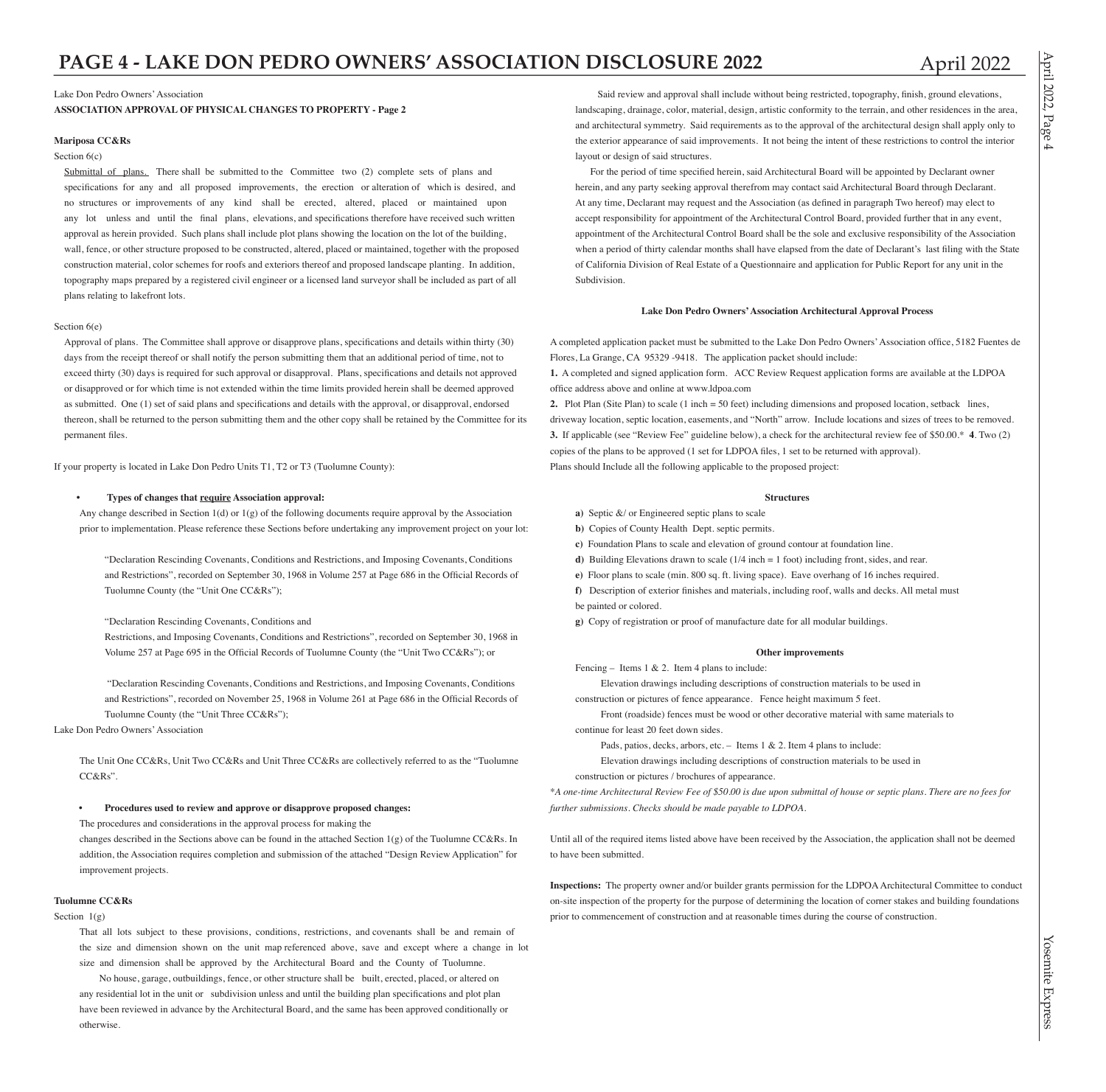Lake Don Pedro Owners' Association

**ASSOCIATION APPROVAL OF PHYSICAL CHANGES TO PROPERTY - Page 2**

### **Mariposa CC&Rs**

### Section  $6(c)$

Submittal of plans. There shall be submitted to the Committee two (2) complete sets of plans and specifications for any and all proposed improvements, the erection or alteration of which is desired, and no structures or improvements of any kind shall be erected, altered, placed or maintained upon any lot unless and until the final plans, elevations, and specifications therefore have received such written approval as herein provided. Such plans shall include plot plans showing the location on the lot of the building, wall, fence, or other structure proposed to be constructed, altered, placed or maintained, together with the proposed construction material, color schemes for roofs and exteriors thereof and proposed landscape planting. In addition, topography maps prepared by a registered civil engineer or a licensed land surveyor shall be included as part of all plans relating to lakefront lots.

### Section 6(e)

Approval of plans. The Committee shall approve or disapprove plans, specifications and details within thirty (30) days from the receipt thereof or shall notify the person submitting them that an additional period of time, not to exceed thirty (30) days is required for such approval or disapproval. Plans, specifications and details not approved or disapproved or for which time is not extended within the time limits provided herein shall be deemed approved as submitted. One (1) set of said plans and specifications and details with the approval, or disapproval, endorsed thereon, shall be returned to the person submitting them and the other copy shall be retained by the Committee for its permanent files.

If your property is located in Lake Don Pedro Units T1, T2 or T3 (Tuolumne County):

### **• Types of changes that require Association approval:**

Any change described in Section 1(d) or 1(g) of the following documents require approval by the Association prior to implementation. Please reference these Sections before undertaking any improvement project on your lot:

"Declaration Rescinding Covenants, Conditions and Restrictions, and Imposing Covenants, Conditions and Restrictions", recorded on September 30, 1968 in Volume 257 at Page 686 in the Official Records of Tuolumne County (the "Unit One CC&Rs");

"Declaration Rescinding Covenants, Conditions and

Restrictions, and Imposing Covenants, Conditions and Restrictions", recorded on September 30, 1968 in Volume 257 at Page 695 in the Official Records of Tuolumne County (the "Unit Two CC&Rs"); or

 "Declaration Rescinding Covenants, Conditions and Restrictions, and Imposing Covenants, Conditions and Restrictions", recorded on November 25, 1968 in Volume 261 at Page 686 in the Official Records of Tuolumne County (the "Unit Three CC&Rs");

Lake Don Pedro Owners' Association

The Unit One CC&Rs, Unit Two CC&Rs and Unit Three CC&Rs are collectively referred to as the "Tuolumne CC&Rs".

### **• Procedures used to review and approve or disapprove proposed changes:**

The procedures and considerations in the approval process for making the

changes described in the Sections above can be found in the attached Section  $1(g)$  of the Tuolumne CC&Rs. In addition, the Association requires completion and submission of the attached "Design Review Application" for improvement projects.

### **Tuolumne CC&Rs**

Section  $1(\sigma)$ 

That all lots subject to these provisions, conditions, restrictions, and covenants shall be and remain of the size and dimension shown on the unit map referenced above, save and except where a change in lot size and dimension shall be approved by the Architectural Board and the County of Tuolumne.

 No house, garage, outbuildings, fence, or other structure shall be built, erected, placed, or altered on any residential lot in the unit or subdivision unless and until the building plan specifications and plot plan have been reviewed in advance by the Architectural Board, and the same has been approved conditionally or otherwise.

 Said review and approval shall include without being restricted, topography, finish, ground elevations, landscaping, drainage, color, material, design, artistic conformity to the terrain, and other residences in the area, and architectural symmetry. Said requirements as to the approval of the architectural design shall apply only to the exterior appearance of said improvements. It not being the intent of these restrictions to control the interior layout or design of said structures.

 For the period of time specified herein, said Architectural Board will be appointed by Declarant owner herein, and any party seeking approval therefrom may contact said Architectural Board through Declarant. At any time, Declarant may request and the Association (as defined in paragraph Two hereof) may elect to accept responsibility for appointment of the Architectural Control Board, provided further that in any event, appointment of the Architectural Control Board shall be the sole and exclusive responsibility of the Association when a period of thirty calendar months shall have elapsed from the date of Declarant's last filing with the State of California Division of Real Estate of a Questionnaire and application for Public Report for any unit in the Subdivision.

### **Lake Don Pedro Owners' Association Architectural Approval Process**

A completed application packet must be submitted to the Lake Don Pedro Owners' Association office, 5182 Fuentes de Flores, La Grange, CA 95329 -9418. The application packet should include:

**1.** A completed and signed application form. ACC Review Request application forms are available at the LDPOA office address above and online at www.ldpoa.com

**2.** Plot Plan (Site Plan) to scale (1 inch = 50 feet) including dimensions and proposed location, setback lines, driveway location, septic location, easements, and "North" arrow. Include locations and sizes of trees to be removed. **3.** If applicable (see "Review Fee" guideline below), a check for the architectural review fee of \$50.00.\* **4**. Two (2) copies of the plans to be approved (1 set for LDPOA files, 1 set to be returned with approval). Plans should Include all the following applicable to the proposed project:

### **Structures**

- **a)** Septic &/ or Engineered septic plans to scale
- **b)** Copies of County Health Dept. septic permits.
- **c)** Foundation Plans to scale and elevation of ground contour at foundation line.
- **d)** Building Elevations drawn to scale (1/4 inch = 1 foot) including front, sides, and rear.
- **e)** Floor plans to scale (min. 800 sq. ft. living space). Eave overhang of 16 inches required.
- **f)** Description of exterior finishes and materials, including roof, walls and decks. All metal must be painted or colored.
- **g)** Copy of registration or proof of manufacture date for all modular buildings.

### **Other improvements**

Fencing – Items 1 & 2. Item 4 plans to include:

Elevation drawings including descriptions of construction materials to be used in

construction or pictures of fence appearance. Fence height maximum 5 feet.

Front (roadside) fences must be wood or other decorative material with same materials to continue for least 20 feet down sides.

Pads, patios, decks, arbors, etc. – Items 1 & 2. Item 4 plans to include:

Elevation drawings including descriptions of construction materials to be used in construction or pictures / brochures of appearance.

\**A one-time Architectural Review Fee of \$50.00 is due upon submittal of house or septic plans. There are no fees for further submissions. Checks should be made payable to LDPOA.*

Until all of the required items listed above have been received by the Association, the application shall not be deemed to have been submitted.

**Inspections:** The property owner and/or builder grants permission for the LDPOA Architectural Committee to conduct on-site inspection of the property for the purpose of determining the location of corner stakes and building foundations prior to commencement of construction and at reasonable times during the course of construction.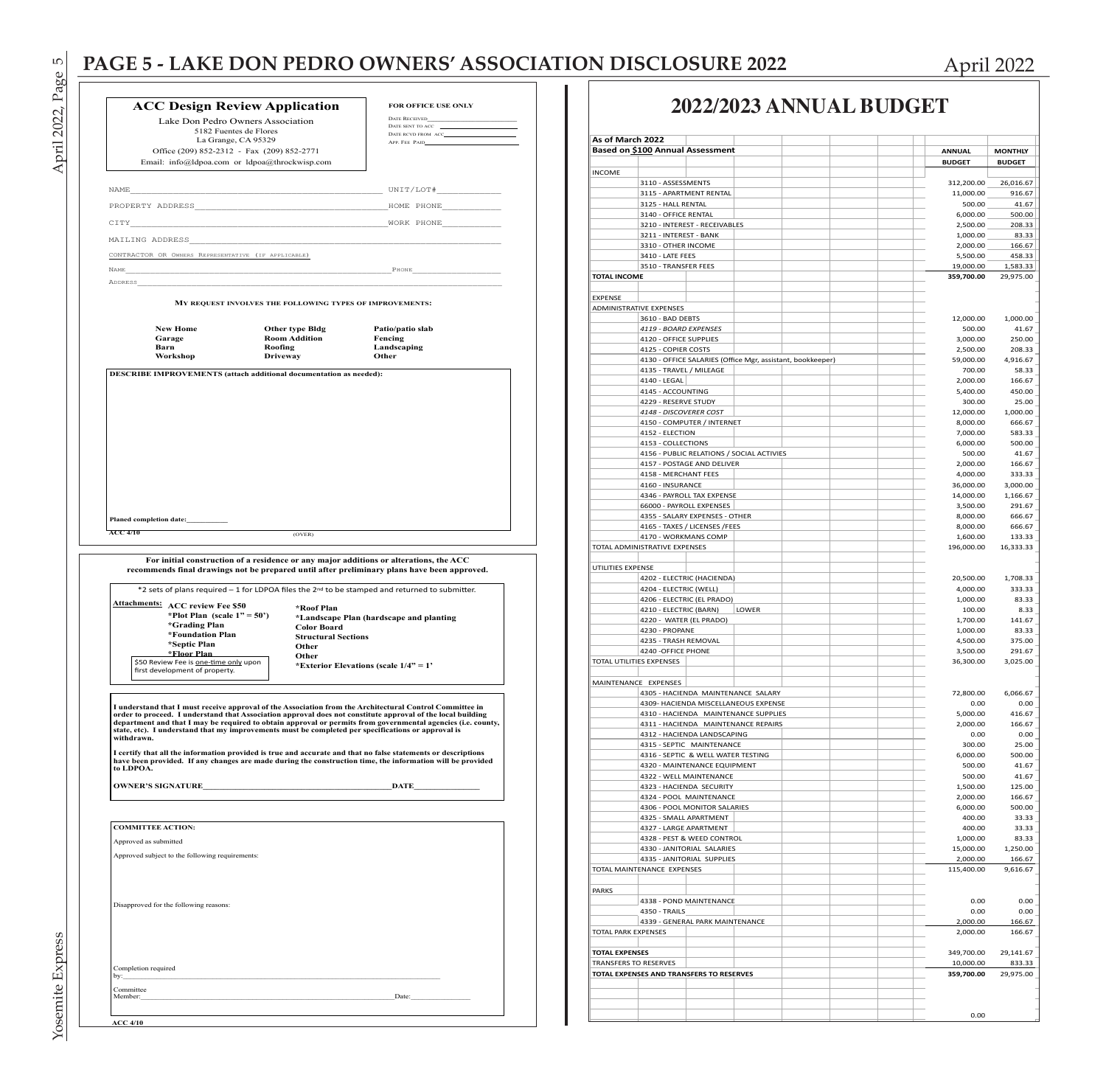## PAGE 5 - LAKE DON PEDRO OWNERS' ASSOCIATION DISCLOSURE 2022 April 2022

|                            |                                                     | <b>ACC Design Review Application</b>                                                               | FOR OFFICE USE ONLY                                                                                                                                                                                                     |  |  |  |
|----------------------------|-----------------------------------------------------|----------------------------------------------------------------------------------------------------|-------------------------------------------------------------------------------------------------------------------------------------------------------------------------------------------------------------------------|--|--|--|
|                            | Lake Don Pedro Owners Association                   | <b>DATE RECEIVED</b><br>DATE SENT TO ACC                                                           |                                                                                                                                                                                                                         |  |  |  |
|                            | 5182 Fuentes de Flores<br>La Grange, CA 95329       | DATE RCVD FROM ACC                                                                                 |                                                                                                                                                                                                                         |  |  |  |
|                            | Office (209) 852-2312 - Fax (209) 852-2771          | APP. FEE PAID                                                                                      |                                                                                                                                                                                                                         |  |  |  |
|                            |                                                     | Email: info@ldpoa.com or ldpoa@throckwisp.com                                                      |                                                                                                                                                                                                                         |  |  |  |
|                            |                                                     |                                                                                                    |                                                                                                                                                                                                                         |  |  |  |
| NAME                       |                                                     |                                                                                                    | $\begin{tabular}{c} \hline \texttt{UNIT} / \texttt{LOT} \# \end{tabular}$                                                                                                                                               |  |  |  |
|                            | PROPERTY ADDRESS                                    |                                                                                                    | HOME PHONE                                                                                                                                                                                                              |  |  |  |
| CITY                       |                                                     |                                                                                                    | WORK PHONE                                                                                                                                                                                                              |  |  |  |
| MAILING ADDRESS            |                                                     |                                                                                                    |                                                                                                                                                                                                                         |  |  |  |
|                            | CONTRACTOR OR OWNERS REPRESENTATIVE (IF APPLICABLE) |                                                                                                    |                                                                                                                                                                                                                         |  |  |  |
| <b>NAME</b>                |                                                     |                                                                                                    | PHONE                                                                                                                                                                                                                   |  |  |  |
| ADDRESS                    |                                                     |                                                                                                    |                                                                                                                                                                                                                         |  |  |  |
|                            |                                                     | MY REQUEST INVOLVES THE FOLLOWING TYPES OF IMPROVEMENTS:                                           |                                                                                                                                                                                                                         |  |  |  |
|                            |                                                     |                                                                                                    |                                                                                                                                                                                                                         |  |  |  |
|                            | <b>New Home</b>                                     | Other type Bldg                                                                                    | Patio/patio slab                                                                                                                                                                                                        |  |  |  |
|                            | Garage<br>Barn                                      | <b>Room Addition</b><br>Roofing                                                                    | Fencing                                                                                                                                                                                                                 |  |  |  |
|                            | Workshop                                            | <b>Driveway</b>                                                                                    | Landscaping<br>Other                                                                                                                                                                                                    |  |  |  |
|                            |                                                     |                                                                                                    |                                                                                                                                                                                                                         |  |  |  |
|                            |                                                     |                                                                                                    |                                                                                                                                                                                                                         |  |  |  |
|                            |                                                     |                                                                                                    |                                                                                                                                                                                                                         |  |  |  |
|                            |                                                     |                                                                                                    |                                                                                                                                                                                                                         |  |  |  |
|                            |                                                     |                                                                                                    |                                                                                                                                                                                                                         |  |  |  |
|                            |                                                     |                                                                                                    |                                                                                                                                                                                                                         |  |  |  |
|                            |                                                     |                                                                                                    |                                                                                                                                                                                                                         |  |  |  |
|                            |                                                     |                                                                                                    |                                                                                                                                                                                                                         |  |  |  |
|                            |                                                     |                                                                                                    |                                                                                                                                                                                                                         |  |  |  |
|                            |                                                     |                                                                                                    |                                                                                                                                                                                                                         |  |  |  |
| Planed completion date:    |                                                     |                                                                                                    |                                                                                                                                                                                                                         |  |  |  |
|                            |                                                     |                                                                                                    |                                                                                                                                                                                                                         |  |  |  |
|                            |                                                     |                                                                                                    |                                                                                                                                                                                                                         |  |  |  |
|                            |                                                     | (OVER)                                                                                             |                                                                                                                                                                                                                         |  |  |  |
| <b>ACC 4/10</b>            |                                                     |                                                                                                    |                                                                                                                                                                                                                         |  |  |  |
|                            |                                                     | For initial construction of a residence or any major additions or alterations, the ACC             |                                                                                                                                                                                                                         |  |  |  |
|                            |                                                     |                                                                                                    | recommends final drawings not be prepared until after preliminary plans have been approved.                                                                                                                             |  |  |  |
|                            |                                                     |                                                                                                    | *2 sets of plans required - 1 for LDPOA files the 2nd to be stamped and returned to submitter.                                                                                                                          |  |  |  |
|                            | <b>Attachments: ACC review Fee \$50</b>             | *Roof Plan                                                                                         |                                                                                                                                                                                                                         |  |  |  |
|                            | *Plot Plan (scale $1" = 50'$ )                      |                                                                                                    | *Landscape Plan (hardscape and planting                                                                                                                                                                                 |  |  |  |
|                            | *Grading Plan                                       | <b>Color Board</b>                                                                                 |                                                                                                                                                                                                                         |  |  |  |
|                            | *Foundation Plan<br>*Septic Plan                    | <b>Structural Sections</b>                                                                         |                                                                                                                                                                                                                         |  |  |  |
|                            | *Floor Plan                                         | Other<br>Other                                                                                     |                                                                                                                                                                                                                         |  |  |  |
|                            | \$50 Review Fee is one-time only upon               |                                                                                                    | *Exterior Elevations (scale $1/4$ " = 1'                                                                                                                                                                                |  |  |  |
|                            | first development of property.                      |                                                                                                    |                                                                                                                                                                                                                         |  |  |  |
|                            |                                                     |                                                                                                    |                                                                                                                                                                                                                         |  |  |  |
|                            |                                                     |                                                                                                    |                                                                                                                                                                                                                         |  |  |  |
|                            |                                                     |                                                                                                    | I understand that I must receive approval of the Association from the Architectural Control Committee in<br>order to proceed. I understand that Association approval does not constitute approval of the local building |  |  |  |
|                            |                                                     | state, etc). I understand that my improvements must be completed per specifications or approval is | department and that I may be required to obtain approval or permits from governmental agencies (i.e. county,                                                                                                            |  |  |  |
| withdrawn.                 |                                                     |                                                                                                    |                                                                                                                                                                                                                         |  |  |  |
|                            |                                                     |                                                                                                    | I certify that all the information provided is true and accurate and that no false statements or descriptions                                                                                                           |  |  |  |
| to LDPOA.                  |                                                     |                                                                                                    | have been provided. If any changes are made during the construction time, the information will be provided                                                                                                              |  |  |  |
|                            |                                                     |                                                                                                    |                                                                                                                                                                                                                         |  |  |  |
|                            | <b>OWNER'S SIGNATURE</b>                            |                                                                                                    | DATE                                                                                                                                                                                                                    |  |  |  |
|                            |                                                     |                                                                                                    |                                                                                                                                                                                                                         |  |  |  |
|                            |                                                     |                                                                                                    |                                                                                                                                                                                                                         |  |  |  |
| <b>COMMITTEE ACTION:</b>   |                                                     |                                                                                                    |                                                                                                                                                                                                                         |  |  |  |
| Approved as submitted      |                                                     |                                                                                                    |                                                                                                                                                                                                                         |  |  |  |
|                            | Approved subject to the following requirements:     |                                                                                                    |                                                                                                                                                                                                                         |  |  |  |
|                            |                                                     |                                                                                                    |                                                                                                                                                                                                                         |  |  |  |
|                            |                                                     |                                                                                                    |                                                                                                                                                                                                                         |  |  |  |
|                            |                                                     |                                                                                                    |                                                                                                                                                                                                                         |  |  |  |
|                            | Disapproved for the following reasons:              |                                                                                                    |                                                                                                                                                                                                                         |  |  |  |
|                            |                                                     |                                                                                                    |                                                                                                                                                                                                                         |  |  |  |
|                            |                                                     |                                                                                                    |                                                                                                                                                                                                                         |  |  |  |
|                            |                                                     |                                                                                                    |                                                                                                                                                                                                                         |  |  |  |
|                            |                                                     |                                                                                                    |                                                                                                                                                                                                                         |  |  |  |
| Completion required<br>by: |                                                     |                                                                                                    |                                                                                                                                                                                                                         |  |  |  |

## **2022/2023 ANNUAL BUDGET**

| As of March 2022             |                                          |                                                                            |       |  |                       |                    |
|------------------------------|------------------------------------------|----------------------------------------------------------------------------|-------|--|-----------------------|--------------------|
|                              |                                          | <b>Based on \$100 Annual Assessment</b>                                    |       |  |                       |                    |
|                              |                                          |                                                                            |       |  | <b>ANNUAL</b>         | <b>MONTHLY</b>     |
| <b>INCOME</b>                |                                          |                                                                            |       |  | <b>BUDGET</b>         | <b>BUDGET</b>      |
|                              | 3110 - ASSESSMENTS                       |                                                                            |       |  | 312,200.00            | 26,016.67          |
|                              |                                          | 3115 - APARTMENT RENTAL                                                    |       |  | 11,000.00             | 916.67             |
|                              | 3125 - HALL RENTAL                       |                                                                            |       |  | 500.00                | 41.67              |
|                              | 3140 - OFFICE RENTAL                     |                                                                            |       |  | 6,000.00              | 500.00             |
|                              |                                          | 3210 - INTEREST - RECEIVABLES                                              |       |  | 2,500.00              | 208.33             |
|                              | 3211 - INTEREST - BANK                   |                                                                            |       |  | 1,000.00              | 83.33              |
|                              | 3310 - OTHER INCOME                      |                                                                            |       |  | 2,000.00              | 166.67             |
|                              | 3410 - LATE FEES                         |                                                                            |       |  | 5,500.00              | 458.33             |
|                              | 3510 - TRANSFER FEES                     |                                                                            |       |  | 19,000.00             | 1,583.33           |
| <b>TOTAL INCOME</b>          |                                          |                                                                            |       |  | 359,700.00            | 29,975.00          |
| <b>EXPENSE</b>               |                                          |                                                                            |       |  |                       |                    |
| ADMINISTRATIVE EXPENSES      |                                          |                                                                            |       |  |                       |                    |
|                              | 3610 - BAD DEBTS                         |                                                                            |       |  | 12,000.00             | 1.000.00           |
|                              | 4119 - BOARD EXPENSES                    |                                                                            |       |  | 500.00                | 41.67              |
|                              | 4120 - OFFICE SUPPLIES                   |                                                                            |       |  | 3,000.00              | 250.00             |
|                              | 4125 - COPIER COSTS                      |                                                                            |       |  | 2,500.00              | 208.33             |
|                              |                                          | 4130 - OFFICE SALARIES (Office Mgr, assistant, bookkeeper)                 |       |  | 59,000.00             | 4,916.67           |
|                              | 4135 - TRAVEL / MILEAGE                  |                                                                            |       |  | 700.00                | 58.33              |
|                              | 4140 - LEGAL                             |                                                                            |       |  | 2,000.00              | 166.67             |
|                              | 4145 - ACCOUNTING                        |                                                                            |       |  | 5,400.00              | 450.00             |
|                              | 4229 - RESERVE STUDY                     |                                                                            |       |  | 300.00                | 25.00              |
|                              | 4148 - DISCOVERER COST                   |                                                                            |       |  | 12,000.00             | 1,000.00           |
|                              |                                          | 4150 - COMPUTER / INTERNET                                                 |       |  | 8,000.00              | 666.67             |
|                              | 4152 - ELECTION                          |                                                                            |       |  | 7,000.00              | 583.33             |
|                              | 4153 - COLLECTIONS                       |                                                                            |       |  | 6,000.00              | 500.00             |
|                              |                                          | 4156 - PUBLIC RELATIONS / SOCIAL ACTIVIES                                  |       |  | 500.00                | 41.67              |
|                              |                                          | 4157 - POSTAGE AND DELIVER                                                 |       |  | 2,000.00              | 166.67             |
|                              | 4158 - MERCHANT FEES<br>4160 - INSURANCE |                                                                            |       |  | 4,000.00<br>36,000.00 | 333.33             |
|                              |                                          | 4346 - PAYROLL TAX EXPENSE                                                 |       |  | 14,000.00             | 3,000.00           |
|                              | 66000 - PAYROLL EXPENSES                 |                                                                            |       |  | 3,500.00              | 1,166.67<br>291.67 |
|                              |                                          | 4355 - SALARY EXPENSES - OTHER                                             |       |  | 8,000.00              | 666.67             |
|                              |                                          | 4165 - TAXES / LICENSES /FEES                                              |       |  | 8,000.00              | 666.67             |
|                              | 4170 - WORKMANS COMP                     |                                                                            |       |  | 1,600.00              | 133.33             |
|                              | TOTAL ADMINISTRATIVE EXPENSES            |                                                                            |       |  | 196,000.00            | 16,333.33          |
|                              |                                          |                                                                            |       |  |                       |                    |
| UTILITIES EXPENSE            |                                          |                                                                            |       |  |                       |                    |
|                              |                                          | 4202 - ELECTRIC (HACIENDA)                                                 |       |  | 20,500.00             | 1,708.33           |
|                              | 4204 - ELECTRIC (WELL)                   |                                                                            |       |  | 4,000.00              | 333.33             |
|                              |                                          | 4206 - ELECTRIC (EL PRADO)                                                 |       |  | 1,000.00              | 83.33              |
|                              | 4210 - ELECTRIC (BARN)                   |                                                                            | LOWER |  | 100.00                | 8.33               |
|                              | 4220 - WATER (EL PRADO)                  |                                                                            |       |  | 1,700.00              | 141.67             |
|                              | 4230 - PROPANE                           |                                                                            |       |  | 1,000.00              | 83.33              |
|                              | 4235 - TRASH REMOVAL                     |                                                                            |       |  | 4,500.00              | 375.00             |
|                              | 4240 - OFFICE PHONE                      |                                                                            |       |  | 3,500.00              | 291.67             |
| TOTAL UTILITIES EXPENSES     |                                          |                                                                            |       |  | 36,300.00             | 3,025.00           |
|                              |                                          |                                                                            |       |  |                       |                    |
| MAINTENANCE EXPENSES         |                                          |                                                                            |       |  |                       |                    |
|                              |                                          | 4305 - HACIENDA MAINTENANCE SALARY<br>4309- HACIENDA MISCELLANEOUS EXPENSE |       |  | 72,800.00<br>0.00     | 6,066.67<br>0.00   |
|                              |                                          | 4310 - HACIENDA MAINTENANCE SUPPLIES                                       |       |  | 5,000.00              | 416.67             |
|                              |                                          | 4311 - HACIENDA MAINTENANCE REPAIRS                                        |       |  | 2,000.00              | 166.67             |
|                              |                                          | 4312 - HACIENDA LANDSCAPING                                                |       |  | 0.00                  | 0.00               |
|                              |                                          | 4315 - SEPTIC MAINTENANCE                                                  |       |  | 300.00                | 25.00              |
|                              |                                          | 4316 - SEPTIC & WELL WATER TESTING                                         |       |  | 6,000.00              | 500.00             |
|                              |                                          | 4320 - MAINTENANCE EQUIPMENT                                               |       |  | 500.00                | 41.67              |
|                              |                                          | 4322 - WELL MAINTENANCE                                                    |       |  | 500.00                | 41.67              |
|                              |                                          | 4323 - HACIENDA SECURITY                                                   |       |  | 1,500.00              | 125.00             |
|                              |                                          | 4324 - POOL MAINTENANCE                                                    |       |  | 2,000.00              | 166.67             |
|                              |                                          | 4306 - POOL MONITOR SALARIES                                               |       |  | 6,000.00              | 500.00             |
|                              | 4325 - SMALL APARTMENT                   |                                                                            |       |  | 400.00                | 33.33              |
|                              | 4327 - LARGE APARTMENT                   |                                                                            |       |  | 400.00                | 33.33              |
|                              |                                          | 4328 - PEST & WEED CONTROL                                                 |       |  | 1,000.00              | 83.33              |
|                              |                                          | 4330 - JANITORIAL SALARIES                                                 |       |  | 15,000.00             | 1,250.00           |
|                              |                                          | 4335 - JANITORIAL SUPPLIES                                                 |       |  | 2,000.00              | 166.67             |
|                              | TOTAL MAINTENANCE EXPENSES               |                                                                            |       |  | 115,400.00            | 9,616.67           |
|                              |                                          |                                                                            |       |  |                       |                    |
| PARKS                        |                                          | 4338 - POND MAINTENANCE                                                    |       |  |                       |                    |
|                              | 4350 - TRAILS                            |                                                                            |       |  | 0.00<br>0.00          | 0.00<br>0.00       |
|                              |                                          | 4339 - GENERAL PARK MAINTENANCE                                            |       |  | 2,000.00              | 166.67             |
| TOTAL PARK EXPENSES          |                                          |                                                                            |       |  | 2,000.00              | 166.67             |
|                              |                                          |                                                                            |       |  |                       |                    |
| <b>TOTAL EXPENSES</b>        |                                          |                                                                            |       |  | 349,700.00            | 29,141.67          |
| <b>TRANSFERS TO RESERVES</b> |                                          |                                                                            |       |  | 10,000.00             | 833.33             |
|                              |                                          | TOTAL EXPENSES AND TRANSFERS TO RESERVES                                   |       |  | 359,700.00            | 29,975.00          |
|                              |                                          |                                                                            |       |  |                       |                    |
|                              |                                          |                                                                            |       |  |                       |                    |
|                              |                                          |                                                                            |       |  |                       |                    |
|                              |                                          |                                                                            |       |  | 0.00                  |                    |

April 2022, Page 5 Yosemite Express April 2022, Page 5

Yosemite Express

**ACC 4/10**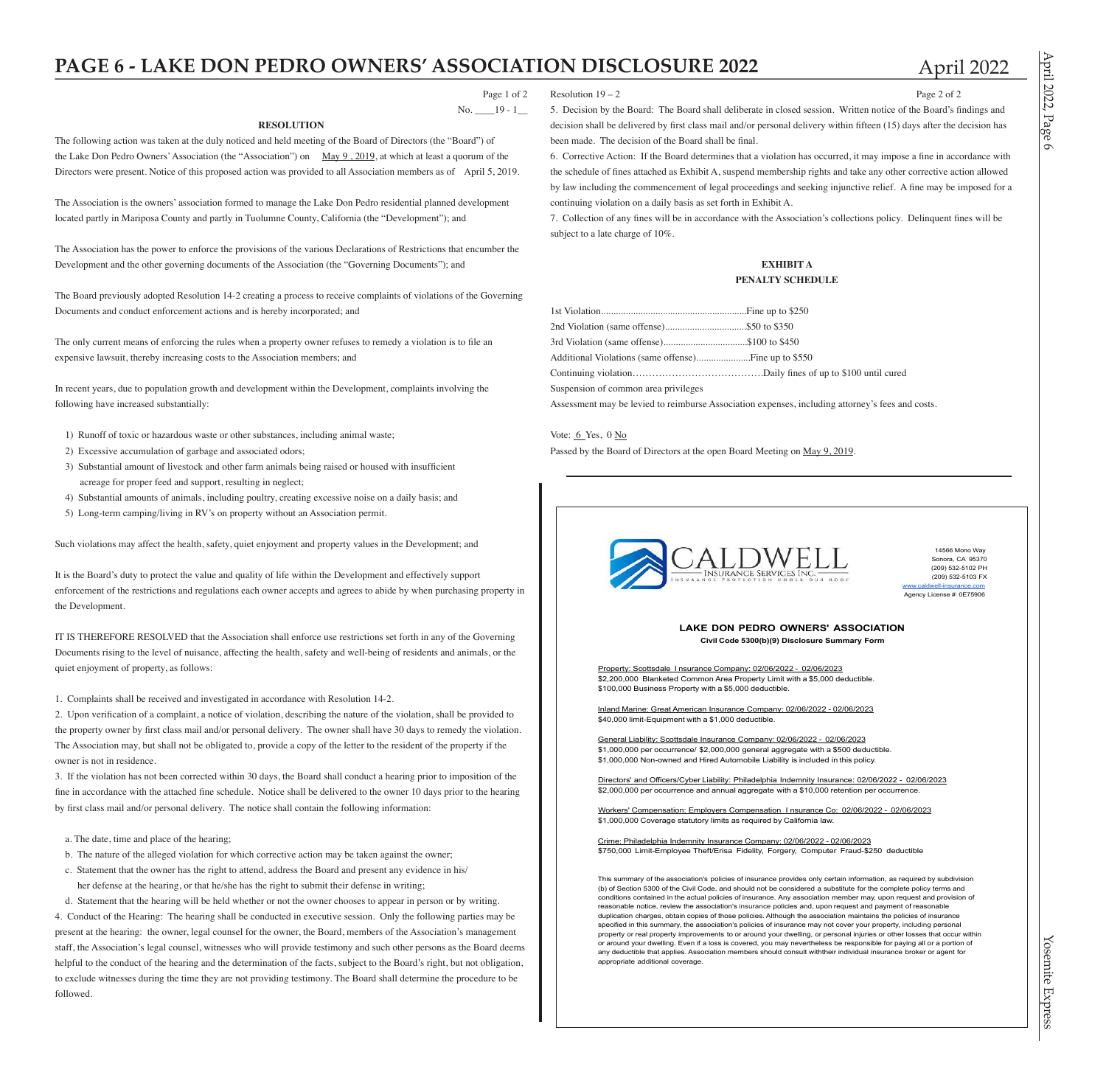## **PAGE 6 - LAKE DON PEDRO OWNERS' ASSOCIATION DISCLOSURE 2022** April 2022

 Page 1 of 2 No. \_\_\_\_19 - 1\_\_

April

 $12022$ 

Page 6

Resolution  $19 - 2$  Page 2 of 2

5. Decision by the Board: The Board shall deliberate in closed session. Written notice of the Board's findings and decision shall be delivered by first class mail and/or personal delivery within fifteen (15) days after the decision has been made. The decision of the Board shall be final.

6. Corrective Action: If the Board determines that a violation has occurred, it may impose a fine in accordance with the schedule of fines attached as Exhibit A, suspend membership rights and take any other corrective action allowed by law including the commencement of legal proceedings and seeking injunctive relief. A fine may be imposed for a continuing violation on a daily basis as set forth in Exhibit A.

7. Collection of any fines will be in accordance with the Association's collections policy. Delinquent fines will be subject to a late charge of 10%.

### **EXHIBIT A PENALTY SCHEDULE**

| 2nd Violation (same offense)\$50 to \$350  |  |
|--------------------------------------------|--|
| 3rd Violation (same offense)\$100 to \$450 |  |
|                                            |  |
|                                            |  |
|                                            |  |

Suspension of common area privileges

Assessment may be levied to reimburse Association expenses, including attorney's fees and costs.

Vote:  $6$  Yes, 0  $N_0$ Passed by the Board of Directors at the open Board Meeting on May 9, 2019.



14566 Mono Way Sonora, CA 95370 (209) 532-5102 PH (209) 532-5103 FX www.caldwell-insurance.com Agency License #: 0E75906

### **LAKE DON PEDRO OWNERS' ASSOCIATION Civil Code 5300(b)(9) Disclosure Summary Form**

Property: Scottsdale I nsurance Company: 02/06/2022 - 02/06/2023 \$2,200,000 Blanketed Common Area Property Limit with a \$5,000 deductible. \$100,000 Business Property with a \$5,000 deductible

Inland Marine: Great American Insurance Company: 02/06/2022 - 02/06/2023 \$40,000 limit-Equipment with a \$1,000 deductible.

General Liability: Scottsdale Insurance Company: 02/06/2022 - 02/06/2023 \$1,000,000 per occurrence/ \$2,000,000 general aggregate with a \$500 deductible. \$1,000,000 Non-owned and Hired Automobile Liability is included in this policy.

Directors' and Officers/Cyber Liability: Philadelphia Indemnity Insurance: 02/06/2022 - 02/06/2023 \$2,000,000 per occurrence and annual aggregate with a \$10,000 retention per occurrence.

Workers' Compensation: Employers Compensation I nsurance Co: 02/06/2022 - 02/06/2023 \$1,000,000 Coverage statutory limits as required by California law

Crime: Philadelphia Indemnity Insurance Company: 02/06/2022 - 02/06/2023 \$750,000 Limit-Employee Theft/Erisa Fidelity, Forgery, Computer Fraud-\$250 deductible

This summary of the association's policies of insurance provides only certain information, as required by subdivision (b) of Section 5300 of the Civil Code, and should not be considered a substitute for the complete policy terms and conditions contained in the actual policies of insurance. Any association member may, upon request and provision of reasonable notice, review the association's insurance policies and, upon request and payment of reasonable duplication charges, obtain copies of those policies. Although the association maintains the policies of insurance specified in this summary, the association's policies of insurance may not cover your property, including personal property or real property improvements to or around your dwelling, or personal injuries or other losses that occur within or around your dwelling. Even if a loss is covered, you may nevertheless be responsible for paying all or a portion of any deductible that applies. Association members should consult withtheir individual insurance broker or agent for appropriate additional coverage.

### **RESOLUTION**

The following action was taken at the duly noticed and held meeting of the Board of Directors (the "Board") of the Lake Don Pedro Owners' Association (the "Association") on May 9, 2019, at which at least a quorum of the Directors were present. Notice of this proposed action was provided to all Association members as of April 5, 2019.

The Association is the owners' association formed to manage the Lake Don Pedro residential planned development located partly in Mariposa County and partly in Tuolumne County, California (the "Development"); and

The Association has the power to enforce the provisions of the various Declarations of Restrictions that encumber the Development and the other governing documents of the Association (the "Governing Documents"); and

The Board previously adopted Resolution 14-2 creating a process to receive complaints of violations of the Governing Documents and conduct enforcement actions and is hereby incorporated; and

The only current means of enforcing the rules when a property owner refuses to remedy a violation is to file an expensive lawsuit, thereby increasing costs to the Association members; and

In recent years, due to population growth and development within the Development, complaints involving the following have increased substantially:

- 1) Runoff of toxic or hazardous waste or other substances, including animal waste;
- 2) Excessive accumulation of garbage and associated odors;
- 3) Substantial amount of livestock and other farm animals being raised or housed with insufficient acreage for proper feed and support, resulting in neglect;
- 4) Substantial amounts of animals, including poultry, creating excessive noise on a daily basis; and
- 5) Long-term camping/living in RV's on property without an Association permit.

Such violations may affect the health, safety, quiet enjoyment and property values in the Development; and

It is the Board's duty to protect the value and quality of life within the Development and effectively support enforcement of the restrictions and regulations each owner accepts and agrees to abide by when purchasing property in the Development.

IT IS THEREFORE RESOLVED that the Association shall enforce use restrictions set forth in any of the Governing Documents rising to the level of nuisance, affecting the health, safety and well-being of residents and animals, or the quiet enjoyment of property, as follows:

1. Complaints shall be received and investigated in accordance with Resolution 14-2.

2. Upon verification of a complaint, a notice of violation, describing the nature of the violation, shall be provided to the property owner by first class mail and/or personal delivery. The owner shall have 30 days to remedy the violation. The Association may, but shall not be obligated to, provide a copy of the letter to the resident of the property if the owner is not in residence.

3. If the violation has not been corrected within 30 days, the Board shall conduct a hearing prior to imposition of the fine in accordance with the attached fine schedule. Notice shall be delivered to the owner 10 days prior to the hearing by first class mail and/or personal delivery. The notice shall contain the following information:

- a. The date, time and place of the hearing;
- b. The nature of the alleged violation for which corrective action may be taken against the owner;
- c. Statement that the owner has the right to attend, address the Board and present any evidence in his/ her defense at the hearing, or that he/she has the right to submit their defense in writing;

d. Statement that the hearing will be held whether or not the owner chooses to appear in person or by writing. 4. Conduct of the Hearing: The hearing shall be conducted in executive session. Only the following parties may be present at the hearing: the owner, legal counsel for the owner, the Board, members of the Association's management staff, the Association's legal counsel, witnesses who will provide testimony and such other persons as the Board deems helpful to the conduct of the hearing and the determination of the facts, subject to the Board's right, but not obligation, to exclude witnesses during the time they are not providing testimony. The Board shall determine the procedure to be followed.



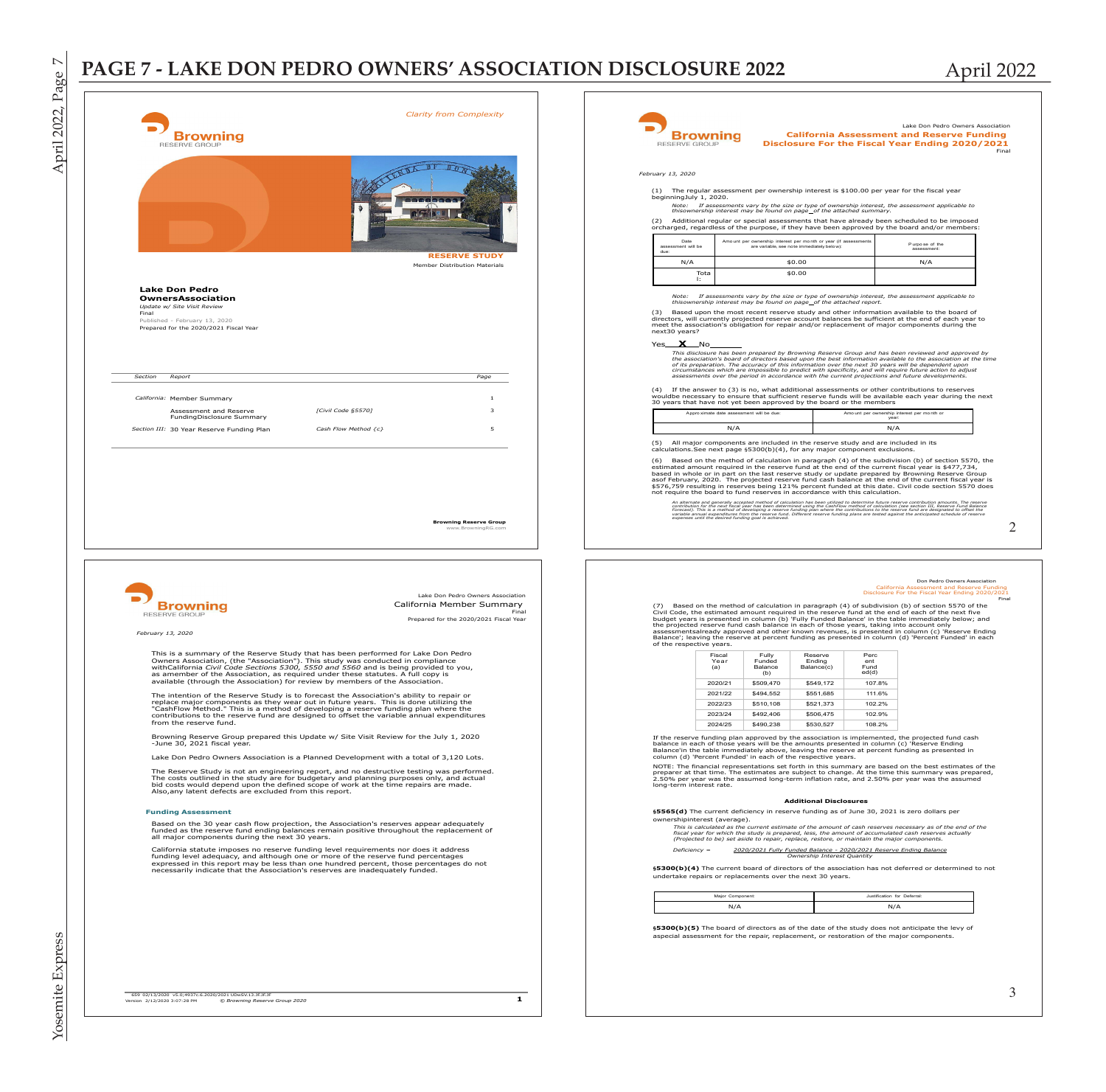## PAGE 7 - LAKE DON PEDRO OWNERS' ASSOCIATION DISCLOSURE 2022 April 2022

|                                                                                                                                                                                                                                                                                                                                                                        |                                                                                                                   | RESERVE GROUP                               | Browning                                        |                                                                      |                                           |                                                                                                                                                                    | <b>California Assessment and Reserve Funding</b><br>Disclosure For the Fiscal Year Ending 2020/2021                                                                                                                                                                                                                                                                                                                                                                                                                                     |  |
|------------------------------------------------------------------------------------------------------------------------------------------------------------------------------------------------------------------------------------------------------------------------------------------------------------------------------------------------------------------------|-------------------------------------------------------------------------------------------------------------------|---------------------------------------------|-------------------------------------------------|----------------------------------------------------------------------|-------------------------------------------|--------------------------------------------------------------------------------------------------------------------------------------------------------------------|-----------------------------------------------------------------------------------------------------------------------------------------------------------------------------------------------------------------------------------------------------------------------------------------------------------------------------------------------------------------------------------------------------------------------------------------------------------------------------------------------------------------------------------------|--|
|                                                                                                                                                                                                                                                                                                                                                                        | $0$ $V$ $D$ $O$                                                                                                   | February 13, 2020<br>beginningJuly 1, 2020. |                                                 |                                                                      |                                           | (1) The regular assessment per ownership interest is \$100.00 per year for the fiscal year                                                                         |                                                                                                                                                                                                                                                                                                                                                                                                                                                                                                                                         |  |
|                                                                                                                                                                                                                                                                                                                                                                        |                                                                                                                   |                                             |                                                 | thisownership interest may be found on page_of the attached summary. |                                           |                                                                                                                                                                    | Note: If assessments vary by the size or type of ownership interest, the assessment applicable to<br>(2) Additional regular or special assessments that have already been scheduled to be imposed                                                                                                                                                                                                                                                                                                                                       |  |
|                                                                                                                                                                                                                                                                                                                                                                        | <b>RESERVE STUDY</b>                                                                                              | Date<br>ent will be<br>asses                |                                                 | Amo unt per ownership interest per month or year (if assess          | are variable, see note immediately below) |                                                                                                                                                                    | orcharged, regardless of the purpose, if they have been approved by the board and/or members:<br>Purpose of the<br>assessment:                                                                                                                                                                                                                                                                                                                                                                                                          |  |
|                                                                                                                                                                                                                                                                                                                                                                        | Member Distribution Materials                                                                                     | N/A                                         | Tota                                            |                                                                      | \$0.00<br>\$0.00                          |                                                                                                                                                                    | N/A                                                                                                                                                                                                                                                                                                                                                                                                                                                                                                                                     |  |
| <b>Lake Don Pedro</b><br><b>OwnersAssociation</b><br>Update w/ Site Visit Review<br>Final                                                                                                                                                                                                                                                                              |                                                                                                                   |                                             |                                                 | thisownership interest may be found on page_of the attached report   |                                           |                                                                                                                                                                    | Note: If assessments vary by the size or type of ownership interest, the assessment applicable to<br>Based upon the most recent reserve study and other information available to the board of                                                                                                                                                                                                                                                                                                                                           |  |
| Published - February 13, 2020<br>Prepared for the 2020/2021 Fiscal Year                                                                                                                                                                                                                                                                                                |                                                                                                                   | next30 years?<br>Yes $X$ No                 |                                                 |                                                                      |                                           |                                                                                                                                                                    | directors, will currently projected reserve account balances be sufficient at the end of each year to<br>meet the association's obligation for repair and/or replacement of major components during the                                                                                                                                                                                                                                                                                                                                 |  |
| <b>Section</b><br>Report                                                                                                                                                                                                                                                                                                                                               | Page                                                                                                              |                                             |                                                 |                                                                      |                                           |                                                                                                                                                                    | This disclosure has been prepared by Browning Reserve Group and has been reviewed and approved by<br>the association's board of directors based upon the best information available to the association at the time<br>of its preparation. The accuracy of this information over the next 30 years will be dependent upon<br>circumstances which are impossible to predict with specificity, and will require future action to adjust<br>assessments over the period in accordance with the current projections and future developments. |  |
| California: Member Summary                                                                                                                                                                                                                                                                                                                                             | $\mathbf{1}$                                                                                                      |                                             |                                                 | 30 years that have not yet been approved by the board or the members |                                           |                                                                                                                                                                    | (4) If the answer to (3) is no, what additional assessments or other contributions to reserves<br>wouldbe necessary to ensure that sufficient reserve funds will be available each year during the next                                                                                                                                                                                                                                                                                                                                 |  |
| [Civil Code §5570]<br>Assessment and Reserve<br>FundingDisclosure Summary<br>Section III: 30 Year Reserve Funding Plan<br>Cash Flow Method {c}                                                                                                                                                                                                                         | $\overline{\mathbf{3}}$                                                                                           |                                             | Appro ximate date assessment will be due<br>N/A |                                                                      |                                           | Amo unt per ownership interest per month or<br>N/A                                                                                                                 |                                                                                                                                                                                                                                                                                                                                                                                                                                                                                                                                         |  |
|                                                                                                                                                                                                                                                                                                                                                                        |                                                                                                                   |                                             |                                                 |                                                                      |                                           | (5) All major components are included in the reserve study and are included in its<br>calculations. See next page §5300(b)(4), for any major component exclusions. | Based on the method of calculation in paragraph (4) of the subdivision (b) of section 5570, the<br>estimated amount required in the reserve fund at the end of the current fiscal year is \$477,734,<br>based in whole or in part on the last reserve study or update prepared by Browning Reserve Group<br>asof February, 2020. The projected reserve fund cash balance at the end of the current fiscal year is                                                                                                                       |  |
|                                                                                                                                                                                                                                                                                                                                                                        |                                                                                                                   |                                             |                                                 |                                                                      |                                           | not require the board to fund reserves in accordance with this calculation.                                                                                        | \$576,759 resulting in reserves being 121% percent funded at this date. Civil code section 5570 does<br>An alternate and generally accepted method of calculation has been utilized to determine future reserve contribution amounts. The reserve<br>contribution for the most functional contents of the most content of the most contributions of the most contribution in the present of the most contribution in the most contribution of the most contributions of the most co                                                     |  |
|                                                                                                                                                                                                                                                                                                                                                                        | <b>Browning Reserve Group</b><br>rww.BrowningRG.cor                                                               |                                             |                                                 |                                                                      |                                           |                                                                                                                                                                    |                                                                                                                                                                                                                                                                                                                                                                                                                                                                                                                                         |  |
|                                                                                                                                                                                                                                                                                                                                                                        |                                                                                                                   |                                             |                                                 |                                                                      |                                           |                                                                                                                                                                    |                                                                                                                                                                                                                                                                                                                                                                                                                                                                                                                                         |  |
| Browning<br>RESERVE GROUP                                                                                                                                                                                                                                                                                                                                              | Lake Don Pedro Owners Association<br>California Member Summary<br>Final<br>Prepared for the 2020/2021 Fiscal Year |                                             |                                                 |                                                                      |                                           |                                                                                                                                                                    | Don Pedro Owners Association<br>California Assessment and Reserve Funding<br>Disclosure For the Fiscal Year Ending 2020/2021<br>(7) Based on the method of calculation in paragraph (4) of subdivision (b) of section 5570 of the<br>Civil Code, the estimated amount required in the reserve fund at the end of each of the next five<br>budget years is presented in column (b) 'Fully Funded Balance' in the table immediately below; and                                                                                            |  |
| February 13, 2020                                                                                                                                                                                                                                                                                                                                                      |                                                                                                                   | of the respective years.                    |                                                 |                                                                      |                                           | the projected reserve fund cash balance in each of those years, taking into account only                                                                           | assessmentsalready approved and other known revenues, is presented in column (c) 'Reserve Ending<br>Balance'; leaving the reserve at percent funding as presented in column (d) 'Percent Funded' in each                                                                                                                                                                                                                                                                                                                                |  |
| This is a summary of the Reserve Study that has been performed for Lake Don Pedro<br>Owners Association, (the "Association"). This study was conducted in compliance<br>withCalifornia Civil Code Sections 5300, 5550 and 5560 and is being provided to you,<br>as amember of the Association, as required under these statutes. A full copy is                        |                                                                                                                   |                                             | Fisca<br>Year<br>(a)                            | Fully<br>Funded<br>Balance<br>(b)                                    | Reserve<br>Ending<br>Balance(c)           | Perc<br>ent<br>Fund<br>ed(d)                                                                                                                                       |                                                                                                                                                                                                                                                                                                                                                                                                                                                                                                                                         |  |
| available (through the Association) for review by members of the Association.<br>The intention of the Reserve Study is to forecast the Association's ability to repair or                                                                                                                                                                                              |                                                                                                                   |                                             | 2020/21<br>2021/22                              | \$509,470<br>\$494,552                                               | \$549,172<br>\$551,685                    | 107.8%<br>111.6%                                                                                                                                                   |                                                                                                                                                                                                                                                                                                                                                                                                                                                                                                                                         |  |
| replace major components as they wear out in future years. This is done utilizing the<br>"CashFlow Method." This is a method of developing a reserve funding plan where the<br>contributions to the reserve fund are designed to offset the variable annual expenditur                                                                                                 |                                                                                                                   |                                             | 2022/23<br>2023/24                              | \$510,108<br>\$492,406                                               | \$521,373<br>\$506,475                    | 102.2%<br>102.9%                                                                                                                                                   |                                                                                                                                                                                                                                                                                                                                                                                                                                                                                                                                         |  |
| from the reserve fund.<br>Browning Reserve Group prepared this Update w/ Site Visit Review for the July 1, 2020<br>-June 30, 2021 fiscal year.                                                                                                                                                                                                                         |                                                                                                                   |                                             | 2024/25                                         | \$490,238                                                            | \$530,527                                 | 108.2%                                                                                                                                                             | If the reserve funding plan approved by the association is implemented, the projected fund cash<br>balance in each of those years will be the amounts presented in column (c) 'Reserve Ending<br>Balance'in the table immediately above, leaving the reserve at percent funding as presented in                                                                                                                                                                                                                                         |  |
| Lake Don Pedro Owners Association is a Planned Development with a total of 3,120 Lots.<br>The Reserve Study is not an engineering report, and no destructive testing was performed.<br>The costs outlined in the study are for budgetary and planning purposes only, and actual<br>bid costs would depend upon the defined scope of work at the time repairs are made. |                                                                                                                   | long-term interest rate.                    |                                                 | column (d) 'Percent Funded' in each of the respective vears.         |                                           |                                                                                                                                                                    | NOTE: The financial representations set forth in this summary are based on the best estimates of the<br>preparer at that time. The estimates are subject to change. At the time this summary was prepared,<br>2.50% per year was the assumed long-term inflation rate, and 2.50% per year was the assumed                                                                                                                                                                                                                               |  |
| Also, any latent defects are excluded from this report.                                                                                                                                                                                                                                                                                                                |                                                                                                                   |                                             |                                                 |                                                                      | <b>Additional Disclosures</b>             |                                                                                                                                                                    |                                                                                                                                                                                                                                                                                                                                                                                                                                                                                                                                         |  |
| <b>Funding Assessment</b><br>Based on the 30 year cash flow projection, the Association's reserves appear adequately<br>funded as the reserve fund ending balances remain positive throughout the replacement of<br>all major components during the next 30 years.                                                                                                     |                                                                                                                   |                                             | ownershipinterest (average).                    |                                                                      |                                           | §5565(d) The current deficiency in reserve funding as of June 30, 2021 is zero dollars per                                                                         | This is calculated as the current estimate of the amount of cash reserves necessary as of the end of the<br>fiscal year for which the study is prepared, less, the amount of accumulated cash reserves actually                                                                                                                                                                                                                                                                                                                         |  |
| California statute imposes no reserve funding level requirements nor does it address<br>funding level adequacy, and although one or more of the reserve fund percentages<br>expressed in this report may be less than one hundred percent, those percentages do not<br>necessarily indicate that the Association's reserves are inadequately funded.                   |                                                                                                                   | $Deficiency =$                              |                                                 |                                                                      | Ownership Interest Quantity               | (Projected to be) set aside to repair, replace, restore, or maintain the major components.<br>2020/2021 Fully Funded Balance - 2020/2021 Reserve Ending Balance    | §5300(b)(4) The current board of directors of the association has not deferred or determined to not                                                                                                                                                                                                                                                                                                                                                                                                                                     |  |
|                                                                                                                                                                                                                                                                                                                                                                        |                                                                                                                   |                                             | Major Component:                                | undertake repairs or replacements over the next 30 years.            |                                           | Justification for Deferral:                                                                                                                                        |                                                                                                                                                                                                                                                                                                                                                                                                                                                                                                                                         |  |
|                                                                                                                                                                                                                                                                                                                                                                        |                                                                                                                   |                                             | N/A                                             |                                                                      |                                           | N/A                                                                                                                                                                | §5300(b)(5) The board of directors as of the date of the study does not anticipate the levy of                                                                                                                                                                                                                                                                                                                                                                                                                                          |  |
|                                                                                                                                                                                                                                                                                                                                                                        |                                                                                                                   |                                             |                                                 |                                                                      |                                           | aspecial assessment for the repair, replacement, or restoration of the major components.                                                                           |                                                                                                                                                                                                                                                                                                                                                                                                                                                                                                                                         |  |